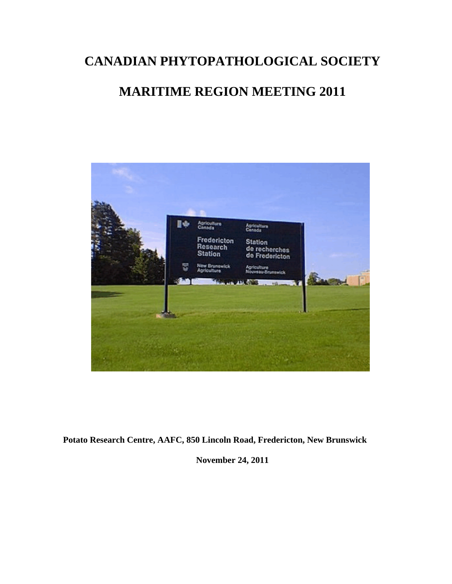# **CANADIAN PHYTOPATHOLOGICAL SOCIETY**

## **MARITIME REGION MEETING 2011**



**Potato Research Centre, AAFC, 850 Lincoln Road, Fredericton, New Brunswick** 

**November 24, 2011**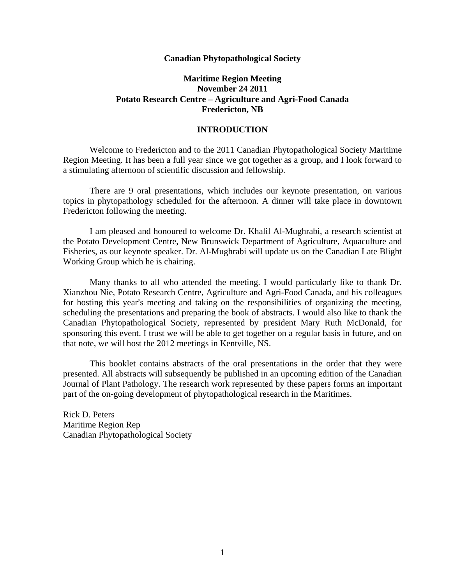#### **Canadian Phytopathological Society**

#### **Maritime Region Meeting November 24 2011 Potato Research Centre – Agriculture and Agri-Food Canada Fredericton, NB**

#### **INTRODUCTION**

Welcome to Fredericton and to the 2011 Canadian Phytopathological Society Maritime Region Meeting. It has been a full year since we got together as a group, and I look forward to a stimulating afternoon of scientific discussion and fellowship.

There are 9 oral presentations, which includes our keynote presentation, on various topics in phytopathology scheduled for the afternoon. A dinner will take place in downtown Fredericton following the meeting.

I am pleased and honoured to welcome Dr. Khalil Al-Mughrabi, a research scientist at the Potato Development Centre, New Brunswick Department of Agriculture, Aquaculture and Fisheries, as our keynote speaker. Dr. Al-Mughrabi will update us on the Canadian Late Blight Working Group which he is chairing.

Many thanks to all who attended the meeting. I would particularly like to thank Dr. Xianzhou Nie, Potato Research Centre, Agriculture and Agri-Food Canada, and his colleagues for hosting this year's meeting and taking on the responsibilities of organizing the meeting, scheduling the presentations and preparing the book of abstracts. I would also like to thank the Canadian Phytopathological Society, represented by president Mary Ruth McDonald, for sponsoring this event. I trust we will be able to get together on a regular basis in future, and on that note, we will host the 2012 meetings in Kentville, NS.

This booklet contains abstracts of the oral presentations in the order that they were presented. All abstracts will subsequently be published in an upcoming edition of the Canadian Journal of Plant Pathology. The research work represented by these papers forms an important part of the on-going development of phytopathological research in the Maritimes.

Rick D. Peters Maritime Region Rep Canadian Phytopathological Society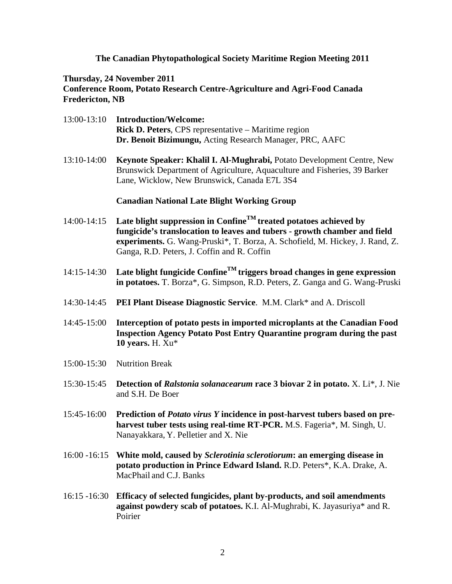#### **The Canadian Phytopathological Society Maritime Region Meeting 2011**

#### **Thursday, 24 November 2011 Conference Room, Potato Research Centre-Agriculture and Agri-Food Canada Fredericton, NB**

- 13:00-13:10 **Introduction/Welcome: Rick D. Peters**, CPS representative – Maritime region **Dr. Benoit Bizimungu,** Acting Research Manager, PRC, AAFC
- 13:10-14:00 **Keynote Speaker: Khalil I. Al-Mughrabi,** Potato Development Centre, New Brunswick Department of Agriculture, Aquaculture and Fisheries, 39 Barker Lane, Wicklow, New Brunswick, Canada E7L 3S4

#### **Canadian National Late Blight Working Group**

- 14:00-14:15 **Late blight suppression in ConfineTM treated potatoes achieved by fungicide's translocation to leaves and tubers - growth chamber and field experiments.** G. Wang-Pruski\*, T. Borza, A. Schofield, M. Hickey, J. Rand, Z. Ganga, R.D. Peters, J. Coffin and R. Coffin
- 14:15-14:30 **Late blight fungicide ConfineTM triggers broad changes in gene expression in potatoes.** T. Borza\*, G. Simpson, R.D. Peters, Z. Ganga and G. Wang-Pruski
- 14:30-14:45 **PEI Plant Disease Diagnostic Service**. M.M. Clark\* and A. Driscoll
- 14:45-15:00 **Interception of potato pests in imported microplants at the Canadian Food Inspection Agency Potato Post Entry Quarantine program during the past 10 years.** H. Xu\*
- 15:00-15:30 Nutrition Break
- 15:30-15:45 **Detection of** *Ralstonia solanacearum* **race 3 biovar 2 in potato.** X. Li\*, J. Nie and S.H. De Boer
- 15:45-16:00 **Prediction of** *Potato virus Y* **incidence in post-harvest tubers based on preharvest tuber tests using real-time RT-PCR.** M.S. Fageria\*, M. Singh, U. Nanayakkara, Y. Pelletier and X. Nie
- 16:00 -16:15 **White mold, caused by** *Sclerotinia sclerotiorum***: an emerging disease in potato production in Prince Edward Island.** R.D. Peters\*, K.A. Drake, A. MacPhail and C.J. Banks
- 16:15 -16:30 **Efficacy of selected fungicides, plant by-products, and soil amendments against powdery scab of potatoes.** K.I. Al-Mughrabi, K. Jayasuriya\* and R. Poirier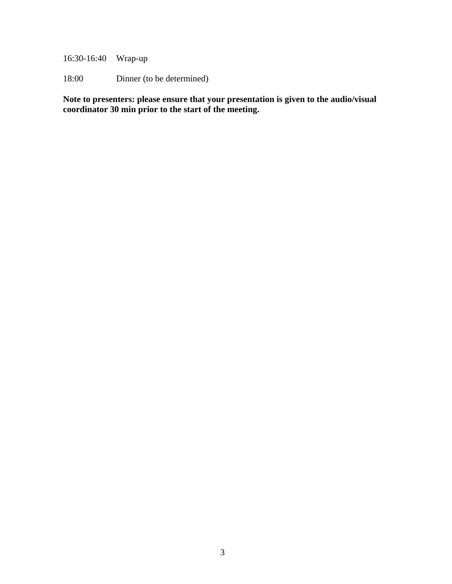16:30-16:40 Wrap-up

18:00 Dinner (to be determined)

**Note to presenters: please ensure that your presentation is given to the audio/visual coordinator 30 min prior to the start of the meeting.**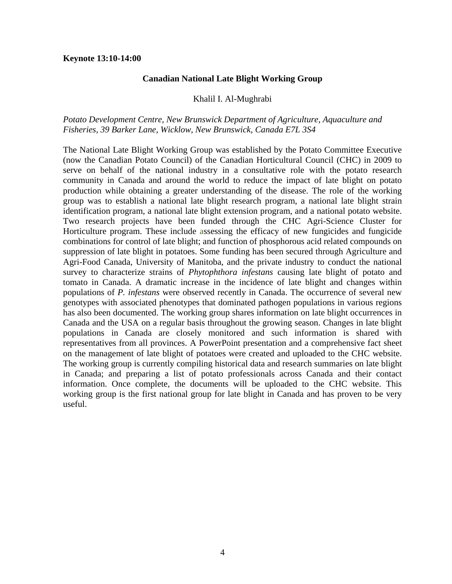#### **Keynote 13:10-14:00**

#### **Canadian National Late Blight Working Group**

#### Khalil I. Al-Mughrabi

#### *Potato Development Centre, New Brunswick Department of Agriculture, Aquaculture and Fisheries, 39 Barker Lane, Wicklow, New Brunswick, Canada E7L 3S4*

The National Late Blight Working Group was established by the Potato Committee Executive (now the Canadian Potato Council) of the Canadian Horticultural Council (CHC) in 2009 to serve on behalf of the national industry in a consultative role with the potato research community in Canada and around the world to reduce the impact of late blight on potato production while obtaining a greater understanding of the disease. The role of the working group was to establish a national late blight research program, a national late blight strain identification program, a national late blight extension program, and a national potato website. Two research projects have been funded through the CHC Agri-Science Cluster for Horticulture program. These include assessing the efficacy of new fungicides and fungicide combinations for control of late blight; and function of phosphorous acid related compounds on suppression of late blight in potatoes. Some funding has been secured through Agriculture and Agri-Food Canada, University of Manitoba, and the private industry to conduct the national survey to characterize strains of *Phytophthora infestans* causing late blight of potato and tomato in Canada. A dramatic increase in the incidence of late blight and changes within populations of *P. infestans* were observed recently in Canada. The occurrence of several new genotypes with associated phenotypes that dominated pathogen populations in various regions has also been documented. The working group shares information on late blight occurrences in Canada and the USA on a regular basis throughout the growing season. Changes in late blight populations in Canada are closely monitored and such information is shared with representatives from all provinces. A PowerPoint presentation and a comprehensive fact sheet on the management of late blight of potatoes were created and uploaded to the CHC website. The working group is currently compiling historical data and research summaries on late blight in Canada; and preparing a list of potato professionals across Canada and their contact information. Once complete, the documents will be uploaded to the CHC website. This working group is the first national group for late blight in Canada and has proven to be very useful.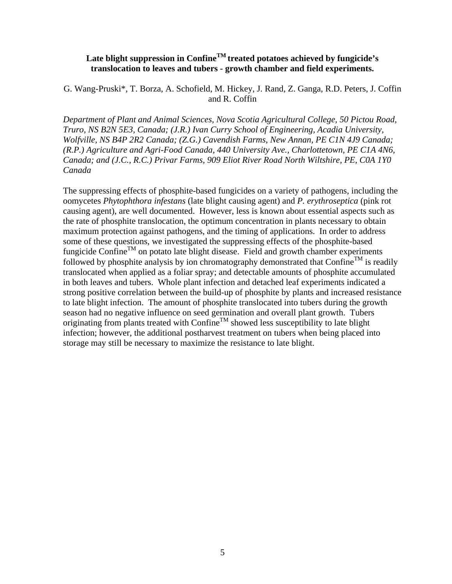## **Late blight suppression in ConfineTM treated potatoes achieved by fungicide's translocation to leaves and tubers - growth chamber and field experiments.**

G. Wang-Pruski\*, T. Borza, A. Schofield, M. Hickey, J. Rand, Z. Ganga, R.D. Peters, J. Coffin and R. Coffin

*Department of Plant and Animal Sciences, Nova Scotia Agricultural College, 50 Pictou Road, Truro, NS B2N 5E3, Canada; (J.R.) Ivan Curry School of Engineering, Acadia University, Wolfville, NS B4P 2R2 Canada; (Z.G.) Cavendish Farms, New Annan, PE C1N 4J9 Canada; (R.P.) Agriculture and Agri-Food Canada, 440 University Ave., Charlottetown, PE C1A 4N6, Canada; and (J.C., R.C.) Privar Farms, 909 Eliot River Road North Wiltshire, PE, C0A 1Y0 Canada* 

The suppressing effects of phosphite-based fungicides on a variety of pathogens, including the oomycetes *Phytophthora infestans* (late blight causing agent) and *P. erythroseptica* (pink rot causing agent), are well documented. However, less is known about essential aspects such as the rate of phosphite translocation, the optimum concentration in plants necessary to obtain maximum protection against pathogens, and the timing of applications. In order to address some of these questions, we investigated the suppressing effects of the phosphite-based fungicide Confine<sup>TM</sup> on potato late blight disease. Field and growth chamber experiments followed by phosphite analysis by ion chromatography demonstrated that Confine<sup>TM</sup> is readily translocated when applied as a foliar spray; and detectable amounts of phosphite accumulated in both leaves and tubers. Whole plant infection and detached leaf experiments indicated a strong positive correlation between the build-up of phosphite by plants and increased resistance to late blight infection. The amount of phosphite translocated into tubers during the growth season had no negative influence on seed germination and overall plant growth. Tubers originating from plants treated with Confine<sup>TM</sup> showed less susceptibility to late blight infection; however, the additional postharvest treatment on tubers when being placed into storage may still be necessary to maximize the resistance to late blight.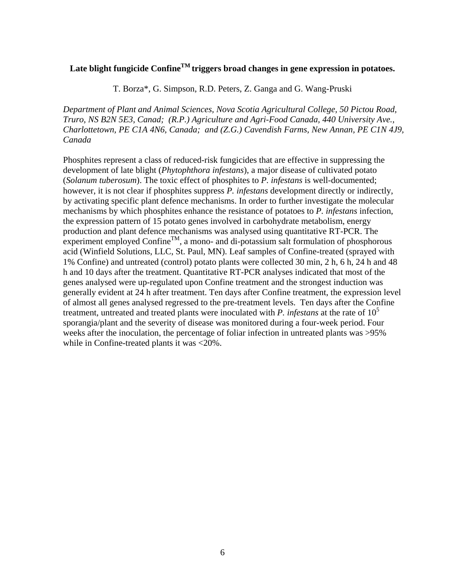## Late blight fungicide Confine<sup>TM</sup> triggers broad changes in gene expression in potatoes.

T. Borza\*, G. Simpson, R.D. Peters, Z. Ganga and G. Wang-Pruski

*Department of Plant and Animal Sciences, Nova Scotia Agricultural College, 50 Pictou Road, Truro, NS B2N 5E3, Canad; (R.P.) Agriculture and Agri-Food Canada, 440 University Ave., Charlottetown, PE C1A 4N6, Canada; and (Z.G.) Cavendish Farms, New Annan, PE C1N 4J9, Canada* 

Phosphites represent a class of reduced-risk fungicides that are effective in suppressing the development of late blight (*Phytophthora infestans*), a major disease of cultivated potato (*Solanum tuberosum*). The toxic effect of phosphites to *P. infestans* is well-documented; however, it is not clear if phosphites suppress *P. infestans* development directly or indirectly, by activating specific plant defence mechanisms. In order to further investigate the molecular mechanisms by which phosphites enhance the resistance of potatoes to *P. infestans* infection, the expression pattern of 15 potato genes involved in carbohydrate metabolism, energy production and plant defence mechanisms was analysed using quantitative RT-PCR. The experiment employed Confine<sup>TM</sup>, a mono- and di-potassium salt formulation of phosphorous acid (Winfield Solutions, LLC, St. Paul, MN). Leaf samples of Confine-treated (sprayed with 1% Confine) and untreated (control) potato plants were collected 30 min, 2 h, 6 h, 24 h and 48 h and 10 days after the treatment. Quantitative RT-PCR analyses indicated that most of the genes analysed were up-regulated upon Confine treatment and the strongest induction was generally evident at 24 h after treatment. Ten days after Confine treatment, the expression level of almost all genes analysed regressed to the pre-treatment levels. Ten days after the Confine treatment, untreated and treated plants were inoculated with *P. infestans* at the rate of 10<sup>5</sup> sporangia/plant and the severity of disease was monitored during a four-week period. Four weeks after the inoculation, the percentage of foliar infection in untreated plants was >95% while in Confine-treated plants it was <20%.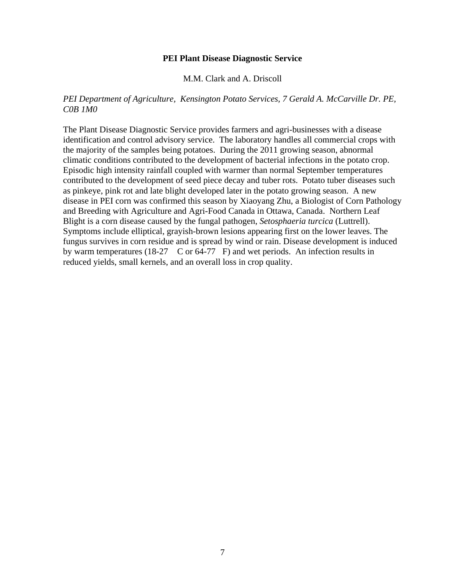#### **PEI Plant Disease Diagnostic Service**

M.M. Clark and A. Driscoll

#### *PEI Department of Agriculture, Kensington Potato Services, 7 Gerald A. McCarville Dr. PE, C0B 1M0*

The Plant Disease Diagnostic Service provides farmers and agri-businesses with a disease identification and control advisory service. The laboratory handles all commercial crops with the majority of the samples being potatoes. During the 2011 growing season, abnormal climatic conditions contributed to the development of bacterial infections in the potato crop. Episodic high intensity rainfall coupled with warmer than normal September temperatures contributed to the development of seed piece decay and tuber rots. Potato tuber diseases such as pinkeye, pink rot and late blight developed later in the potato growing season. A new disease in PEI corn was confirmed this season by Xiaoyang Zhu, a Biologist of Corn Pathology and Breeding with Agriculture and Agri-Food Canada in Ottawa, Canada. Northern Leaf Blight is a corn disease caused by the fungal pathogen, *Setosphaeria turcica* (Luttrell). Symptoms include elliptical, grayish-brown lesions appearing first on the lower leaves. The fungus survives in corn residue and is spread by wind or rain. Disease development is induced by warm temperatures (18-27  $\degree$  C or 64-77  $\degree$  F) and wet periods. An infection results in reduced yields, small kernels, and an overall loss in crop quality.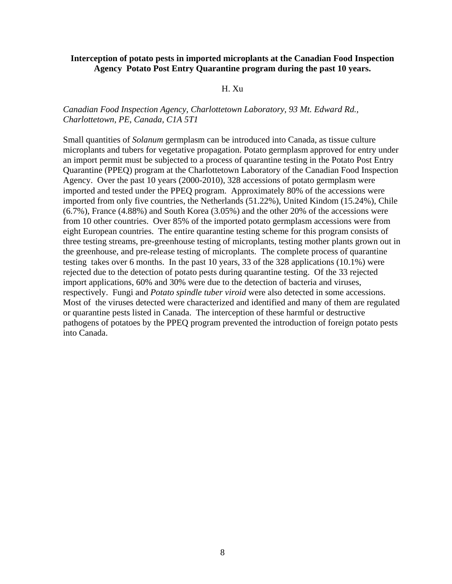#### **Interception of potato pests in imported microplants at the Canadian Food Inspection Agency Potato Post Entry Quarantine program during the past 10 years.**

#### H. Xu

#### *Canadian Food Inspection Agency, Charlottetown Laboratory, 93 Mt. Edward Rd., Charlottetown, PE, Canada, C1A 5T1*

Small quantities of *Solanum* germplasm can be introduced into Canada, as tissue culture microplants and tubers for vegetative propagation. Potato germplasm approved for entry under an import permit must be subjected to a process of quarantine testing in the Potato Post Entry Quarantine (PPEQ) program at the Charlottetown Laboratory of the Canadian Food Inspection Agency. Over the past 10 years (2000-2010), 328 accessions of potato germplasm were imported and tested under the PPEQ program. Approximately 80% of the accessions were imported from only five countries, the Netherlands (51.22%), United Kindom (15.24%), Chile (6.7%), France (4.88%) and South Korea (3.05%) and the other 20% of the accessions were from 10 other countries. Over 85% of the imported potato germplasm accessions were from eight European countries. The entire quarantine testing scheme for this program consists of three testing streams, pre-greenhouse testing of microplants, testing mother plants grown out in the greenhouse, and pre-release testing of microplants. The complete process of quarantine testing takes over 6 months. In the past 10 years, 33 of the 328 applications (10.1%) were rejected due to the detection of potato pests during quarantine testing. Of the 33 rejected import applications, 60% and 30% were due to the detection of bacteria and viruses, respectively. Fungi and *Potato spindle tuber viroid* were also detected in some accessions. Most of the viruses detected were characterized and identified and many of them are regulated or quarantine pests listed in Canada. The interception of these harmful or destructive pathogens of potatoes by the PPEQ program prevented the introduction of foreign potato pests into Canada.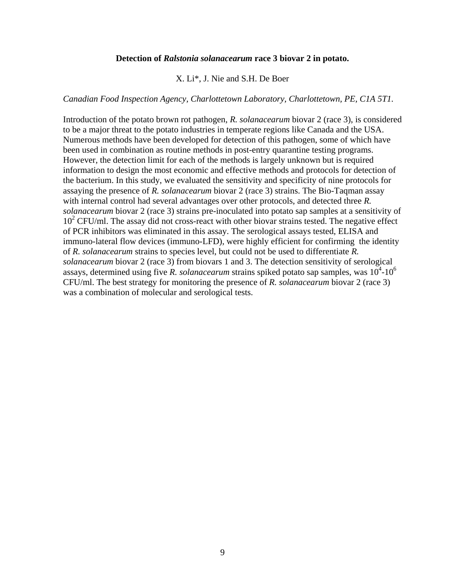#### **Detection of** *Ralstonia solanacearum* **race 3 biovar 2 in potato.**

X. Li\*, J. Nie and S.H. De Boer

#### *Canadian Food Inspection Agency, Charlottetown Laboratory, Charlottetown, PE, C1A 5T1.*

Introduction of the potato brown rot pathogen, *R. solanacearum* biovar 2 (race 3), is considered to be a major threat to the potato industries in temperate regions like Canada and the USA. Numerous methods have been developed for detection of this pathogen, some of which have been used in combination as routine methods in post-entry quarantine testing programs. However, the detection limit for each of the methods is largely unknown but is required information to design the most economic and effective methods and protocols for detection of the bacterium. In this study, we evaluated the sensitivity and specificity of nine protocols for assaying the presence of *R. solanacearum* biovar 2 (race 3) strains. The Bio-Taqman assay with internal control had several advantages over other protocols, and detected three *R. solanacearum* biovar 2 (race 3) strains pre-inoculated into potato sap samples at a sensitivity of 10<sup>2</sup> CFU/ml. The assay did not cross-react with other biovar strains tested. The negative effect of PCR inhibitors was eliminated in this assay. The serological assays tested, ELISA and immuno-lateral flow devices (immuno-LFD), were highly efficient for confirming the identity of *R. solanacearum* strains to species level, but could not be used to differentiate *R. solanacearum* biovar 2 (race 3) from biovars 1 and 3. The detection sensitivity of serological assays, determined using five *R. solanacearum* strains spiked potato sap samples, was  $10^4$ - $10^6$ CFU/ml. The best strategy for monitoring the presence of *R. solanacearum* biovar 2 (race 3) was a combination of molecular and serological tests.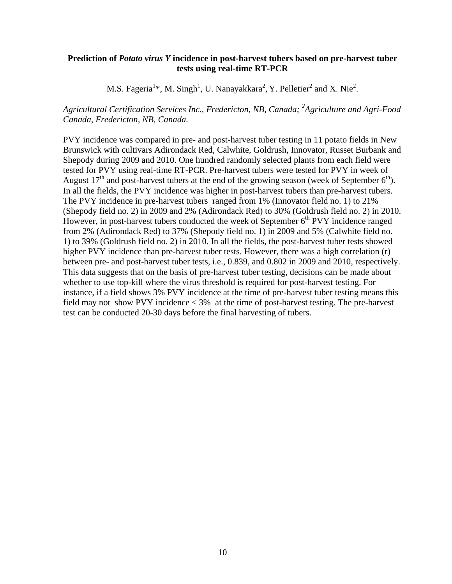#### **Prediction of** *Potato virus Y* **incidence in post-harvest tubers based on pre-harvest tuber tests using real-time RT-PCR**

M.S. Fageria<sup>1\*</sup>, M. Singh<sup>1</sup>, U. Nanayakkara<sup>2</sup>, Y. Pelletier<sup>2</sup> and X. Nie<sup>2</sup>.

## *Agricultural Certification Services Inc., Fredericton, NB, Canada; 2 Agriculture and Agri-Food Canada, Fredericton, NB, Canada.*

PVY incidence was compared in pre- and post-harvest tuber testing in 11 potato fields in New Brunswick with cultivars Adirondack Red, Calwhite, Goldrush, Innovator, Russet Burbank and Shepody during 2009 and 2010. One hundred randomly selected plants from each field were tested for PVY using real-time RT-PCR. Pre-harvest tubers were tested for PVY in week of August  $17<sup>th</sup>$  and post-harvest tubers at the end of the growing season (week of September 6<sup>th</sup>). In all the fields, the PVY incidence was higher in post-harvest tubers than pre-harvest tubers. The PVY incidence in pre-harvest tubers ranged from 1% (Innovator field no. 1) to 21% (Shepody field no. 2) in 2009 and 2% (Adirondack Red) to 30% (Goldrush field no. 2) in 2010. However, in post-harvest tubers conducted the week of September  $6<sup>th</sup>$  PVY incidence ranged from 2% (Adirondack Red) to 37% (Shepody field no. 1) in 2009 and 5% (Calwhite field no. 1) to 39% (Goldrush field no. 2) in 2010. In all the fields, the post-harvest tuber tests showed higher PVY incidence than pre-harvest tuber tests. However, there was a high correlation (r) between pre- and post-harvest tuber tests, i.e., 0.839, and 0.802 in 2009 and 2010, respectively. This data suggests that on the basis of pre-harvest tuber testing, decisions can be made about whether to use top-kill where the virus threshold is required for post-harvest testing. For instance, if a field shows 3% PVY incidence at the time of pre-harvest tuber testing means this field may not show PVY incidence < 3% at the time of post-harvest testing. The pre-harvest test can be conducted 20-30 days before the final harvesting of tubers.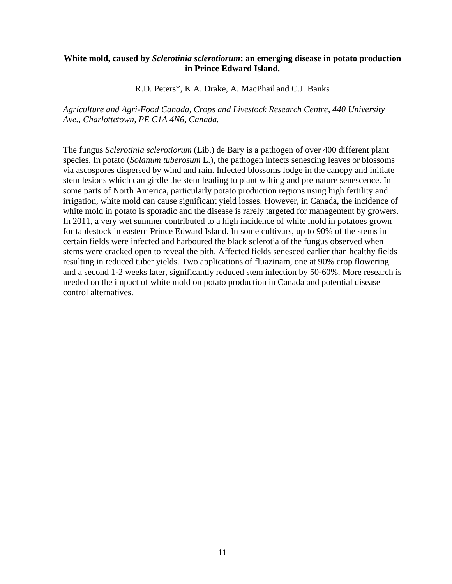#### **White mold, caused by** *Sclerotinia sclerotiorum***: an emerging disease in potato production in Prince Edward Island.**

R.D. Peters\*, K.A. Drake, A. MacPhail and C.J. Banks

*Agriculture and Agri-Food Canada, Crops and Livestock Research Centre, 440 University Ave., Charlottetown, PE C1A 4N6, Canada.*

The fungus *Sclerotinia sclerotiorum* (Lib.) de Bary is a pathogen of over 400 different plant species. In potato (*Solanum tuberosum* L.), the pathogen infects senescing leaves or blossoms via ascospores dispersed by wind and rain. Infected blossoms lodge in the canopy and initiate stem lesions which can girdle the stem leading to plant wilting and premature senescence. In some parts of North America, particularly potato production regions using high fertility and irrigation, white mold can cause significant yield losses. However, in Canada, the incidence of white mold in potato is sporadic and the disease is rarely targeted for management by growers. In 2011, a very wet summer contributed to a high incidence of white mold in potatoes grown for tablestock in eastern Prince Edward Island. In some cultivars, up to 90% of the stems in certain fields were infected and harboured the black sclerotia of the fungus observed when stems were cracked open to reveal the pith. Affected fields senesced earlier than healthy fields resulting in reduced tuber yields. Two applications of fluazinam, one at 90% crop flowering and a second 1-2 weeks later, significantly reduced stem infection by 50-60%. More research is needed on the impact of white mold on potato production in Canada and potential disease control alternatives.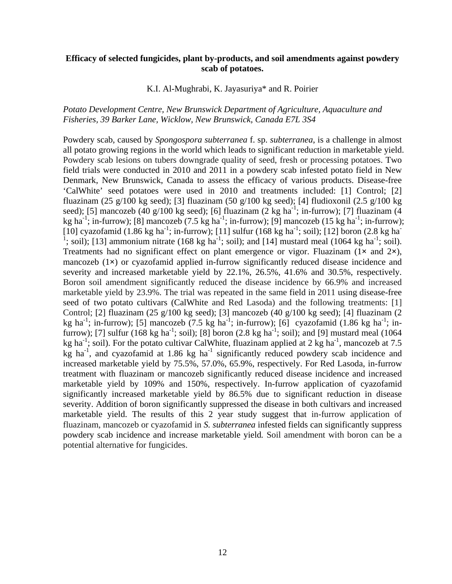#### **Efficacy of selected fungicides, plant by-products, and soil amendments against powdery scab of potatoes.**

#### K.I. Al-Mughrabi, K. Jayasuriya\* and R. Poirier

#### *Potato Development Centre, New Brunswick Department of Agriculture, Aquaculture and Fisheries, 39 Barker Lane, Wicklow, New Brunswick, Canada E7L 3S4*

Powdery scab, caused by *Spongospora subterranea* f. sp. *subterranea*, is a challenge in almost all potato growing regions in the world which leads to significant reduction in marketable yield. Powdery scab lesions on tubers downgrade quality of seed, fresh or processing potatoes. Two field trials were conducted in 2010 and 2011 in a powdery scab infested potato field in New Denmark, New Brunswick, Canada to assess the efficacy of various products. Disease-free 'CalWhite' seed potatoes were used in 2010 and treatments included: [1] Control; [2] fluazinam (25 g/100 kg seed); [3] fluazinam (50 g/100 kg seed); [4] fludioxonil (2.5 g/100 kg seed); [5] mancozeb (40 g/100 kg seed); [6] fluazinam (2 kg ha<sup>-1</sup>; in-furrow); [7] fluazinam (4 kg ha<sup>-1</sup>; in-furrow); [8] mancozeb (7.5 kg ha<sup>-1</sup>; in-furrow); [9] mancozeb (15 kg ha<sup>-1</sup>; in-furrow); [10] cyazofamid (1.86 kg ha<sup>-1</sup>; in-furrow); [11] sulfur (168 kg ha<sup>-1</sup>; soil); [12] boron (2.8 kg ha<sup>-1</sup>) <sup>1</sup>; soil); [13] ammonium nitrate (168 kg ha<sup>-1</sup>; soil); and [14] mustard meal (1064 kg ha<sup>-1</sup>; soil). Treatments had no significant effect on plant emergence or vigor. Fluazinam (1**×** and 2**×**), mancozeb (1**×**) or cyazofamid applied in-furrow significantly reduced disease incidence and severity and increased marketable yield by 22.1%, 26.5%, 41.6% and 30.5%, respectively. Boron soil amendment significantly reduced the disease incidence by 66.9% and increased marketable yield by 23.9%. The trial was repeated in the same field in 2011 using disease-free seed of two potato cultivars (CalWhite and Red Lasoda) and the following treatments: [1] Control; [2] fluazinam (25 g/100 kg seed); [3] mancozeb (40 g/100 kg seed); [4] fluazinam (2 kg ha<sup>-1</sup>; in-furrow); [5] mancozeb (7.5 kg ha<sup>-1</sup>; in-furrow); [6] cyazofamid (1.86 kg ha<sup>-1</sup>; infurrow); [7] sulfur (168 kg ha<sup>-1</sup>; soil); [8] boron (2.8 kg ha<sup>-1</sup>; soil); and [9] mustard meal (1064) kg ha<sup>-1</sup>; soil). For the potato cultivar CalWhite, fluazinam applied at 2 kg ha<sup>-1</sup>, mancozeb at 7.5  $kg$  ha<sup>-1</sup>, and cyazofamid at 1.86 kg ha<sup>-1</sup> significantly reduced powdery scab incidence and increased marketable yield by 75.5%, 57.0%, 65.9%, respectively. For Red Lasoda, in-furrow treatment with fluazinam or mancozeb significantly reduced disease incidence and increased marketable yield by 109% and 150%, respectively. In-furrow application of cyazofamid significantly increased marketable yield by 86.5% due to significant reduction in disease severity. Addition of boron significantly suppressed the disease in both cultivars and increased marketable yield. The results of this 2 year study suggest that in-furrow application of fluazinam, mancozeb or cyazofamid in *S. subterranea* infested fields can significantly suppress powdery scab incidence and increase marketable yield*.* Soil amendment with boron can be a potential alternative for fungicides.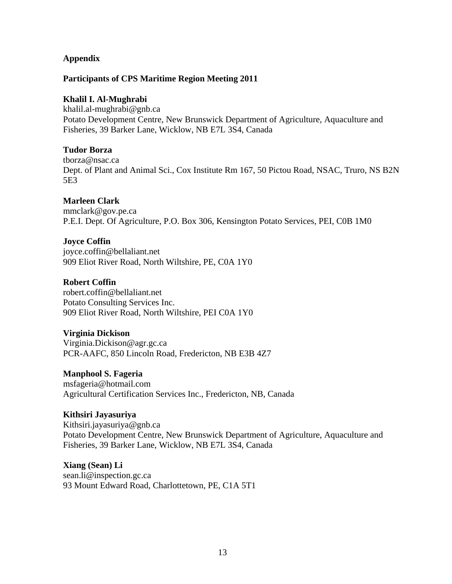#### **Appendix**

#### **Participants of CPS Maritime Region Meeting 2011**

#### **Khalil I. Al-Mughrabi**

[khalil.al-mughrabi@gnb.ca](mailto:khalil.al-mughrabi@gnb.ca) Potato Development Centre, New Brunswick Department of Agriculture, Aquaculture and Fisheries, 39 Barker Lane, Wicklow, NB E7L 3S4, Canada

#### **Tudor Borza**

[tborza@nsac.ca](mailto:tborza@nsac.ca)  Dept. of Plant and Animal Sci., Cox Institute Rm 167, 50 Pictou Road, NSAC, Truro, NS B2N 5E3

#### **Marleen Clark**

[mmclark@gov.pe.ca](mailto:mmclark@gov.pe.ca) P.E.I. Dept. Of Agriculture, P.O. Box 306, Kensington Potato Services, PEI, C0B 1M0

#### **Joyce Coffin**

[joyce.coffin@bellaliant.net](mailto:joyce.coffin@bellaliant.net)  909 Eliot River Road, North Wiltshire, PE, C0A 1Y0

#### **Robert Coffin**

[robert.coffin@bellaliant.net](mailto:robert.coffin@bellaliant.net) Potato Consulting Services Inc. 909 Eliot River Road, North Wiltshire, PEI C0A 1Y0

#### **Virginia Dickison**

[Virginia.Dickison@agr.gc.ca](mailto:Virginia.Dickison@agr.gc.ca) PCR-AAFC, 850 Lincoln Road, Fredericton, NB E3B 4Z7

#### **Manphool S. Fageria**

[msfageria@hotmail.com](mailto:msfageria@hotmail.com) Agricultural Certification Services Inc., Fredericton, NB, Canada

#### **Kithsiri Jayasuriya**

[Kithsiri.jayasuriya@gnb.ca](mailto:Kithsiri.jayasuriya@gnb.ca) Potato Development Centre, New Brunswick Department of Agriculture, Aquaculture and Fisheries, 39 Barker Lane, Wicklow, NB E7L 3S4, Canada

## **Xiang (Sean) Li**

[sean.li@inspection.gc.ca](mailto:sean.li@inspection.gc.ca)  93 Mount Edward Road, Charlottetown, PE, C1A 5T1